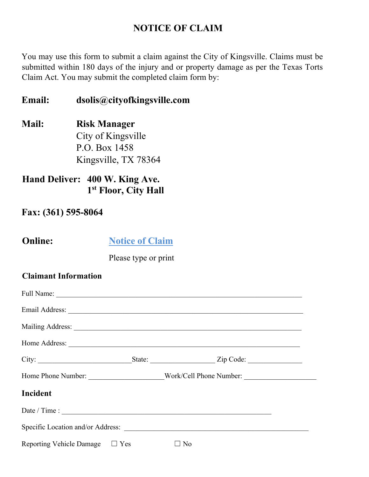# **NOTICE OF CLAIM**

You may use this form to submit a claim against the City of Kingsville. Claims must be submitted within 180 days of the injury and or property damage as per the Texas Torts Claim Act. You may submit the completed claim form by:

**Email: dsolis@cityofkingsville.com**

**Mail: Risk Manager**  City of Kingsville P.O. Box 1458 Kingsville, TX 78364

# **Hand Deliver: 400 W. King Ave. 1st Floor, City Hall**

### **Fax: (361) 595-8064**

**Online:** Notice of Claim

Please type or print

### **Claimant Information**

|                                     | State: $\angle$ Zip Code:                                                         |  |
|-------------------------------------|-----------------------------------------------------------------------------------|--|
|                                     | Home Phone Number: ________________________Work/Cell Phone Number: ______________ |  |
| Incident                            |                                                                                   |  |
|                                     |                                                                                   |  |
|                                     |                                                                                   |  |
| Reporting Vehicle Damage $\Box$ Yes | $\square$ No                                                                      |  |